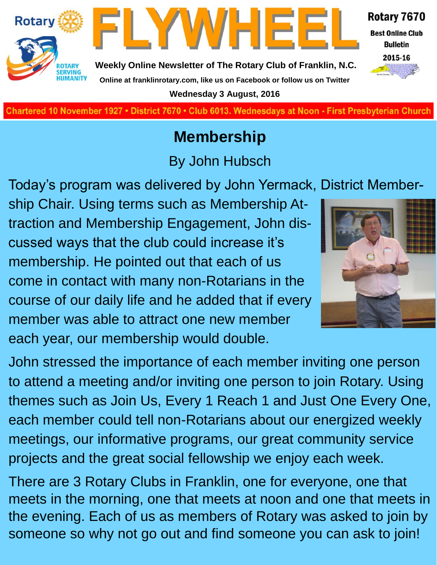

FLYWHEE

**Charted November 29, 1927 • District 7670 • Club 6013 Wednesdays at Noon - First Presbyterian Church**

## **Membership**

By John Hubsch

Today's program was delivered by John Yermack, District Membership Chair. Using terms such as Membership Attraction and Membership Engagement, John discussed ways that the club could increase it's membership. He pointed out that each of us come in contact with many non-Rotarians in the course of our daily life and he added that if every member was able to attract one new member each year, our membership would double.

**Rotary** 



Rotary 7670

**Best Online Club Bulletin** 2015-16

John stressed the importance of each member inviting one person to attend a meeting and/or inviting one person to join Rotary. Using themes such as Join Us, Every 1 Reach 1 and Just One Every One, each member could tell non-Rotarians about our energized weekly meetings, our informative programs, our great community service projects and the great social fellowship we enjoy each week.

There are 3 Rotary Clubs in Franklin, one for everyone, one that meets in the morning, one that meets at noon and one that meets in the evening. Each of us as members of Rotary was asked to join by someone so why not go out and find someone you can ask to join!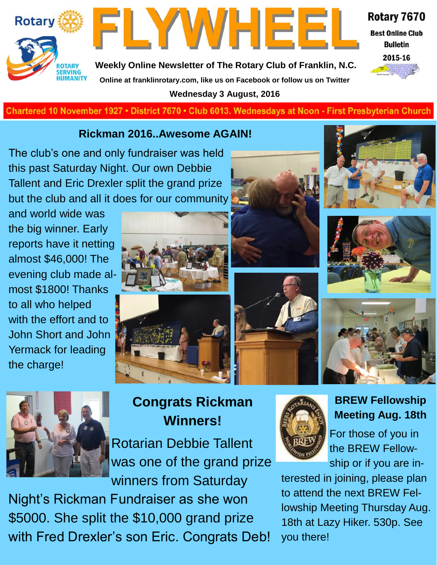



Rotary 7670

**Best Online Club Bulletin** 



**Weekly Online Newsletter of The Rotary Club of Franklin, N.C. Online at franklinrotary.com, like us on Facebook or follow us on Twitter Wednesday 3 August, 2016**

**Charted November 29, 1927 • District 7670 • Club 6013 Wednesdays at Noon - First Presbyterian Church**

#### **Rickman 2016..Awesome AGAIN!**

The club's one and only fundraiser was held this past Saturday Night. Our own Debbie Tallent and Eric Drexler split the grand prize but the club and all it does for our community

and world wide was the big winner. Early reports have it netting almost \$46,000! The evening club made almost \$1800! Thanks to all who helped with the effort and to John Short and John Yermack for leading the charge!













## **Congrats Rickman Winners!**

Rotarian Debbie Tallent was one of the grand prize winners from Saturday

Night's Rickman Fundraiser as she won \$5000. She split the \$10,000 grand prize with Fred Drexler's son Eric. Congrats Deb!



#### **BREW Fellowship Meeting Aug. 18th**

For those of you in the BREW Fellowship or if you are in-

terested in joining, please plan to attend the next BREW Fellowship Meeting Thursday Aug. 18th at Lazy Hiker. 530p. See you there!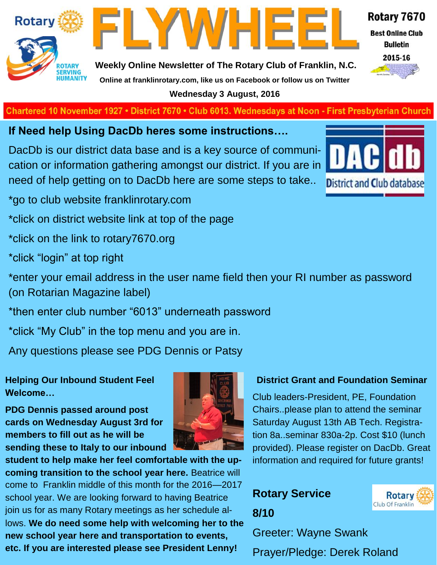

**Weekly Online Newsletter of The Rotary Club of Franklin, N.C. Online at franklinrotary.com, like us on Facebook or follow us on Twitter**

FLYWHEE

**Wednesday 3 August, 2016**

**Charted November 29, 1927 • District 7670 • Club 6013 Wednesdays at Noon - First Presbyterian Church**

**If Need help Using DacDb heres some instructions….**

DacDb is our district data base and is a key source of communication or information gathering amongst our district. If you are in need of help getting on to DacDb here are some steps to take..

\*go to club website franklinrotary.com

\*click on district website link at top of the page

\*click on the link to rotary7670.org

\*click "login" at top right

\*enter your email address in the user name field then your RI number as password (on Rotarian Magazine label)

\*then enter club number "6013" underneath password

\*click "My Club" in the top menu and you are in.

Any questions please see PDG Dennis or Patsy

**Helping Our Inbound Student Feel Welcome…**

**PDG Dennis passed around post cards on Wednesday August 3rd for members to fill out as he will be sending these to Italy to our inbound** 



**student to help make her feel comfortable with the upcoming transition to the school year here.** Beatrice will come to Franklin middle of this month for the 2016—2017 school year. We are looking forward to having Beatrice join us for as many Rotary meetings as her schedule allows. **We do need some help with welcoming her to the new school year here and transportation to events, etc. If you are interested please see President Lenny!** 

#### **District Grant and Foundation Seminar**

Club leaders-President, PE, Foundation Chairs..please plan to attend the seminar Saturday August 13th AB Tech. Registration 8a..seminar 830a-2p. Cost \$10 (lunch provided). Please register on DacDb. Great information and required for future grants!

> **Rotary** Club Of Franklin

## **Rotary Service 8/10**

Greeter: Wayne Swank

Prayer/Pledge: Derek Roland



#### Rotary 7670

**Best Online Club** 

**Bulletin** 

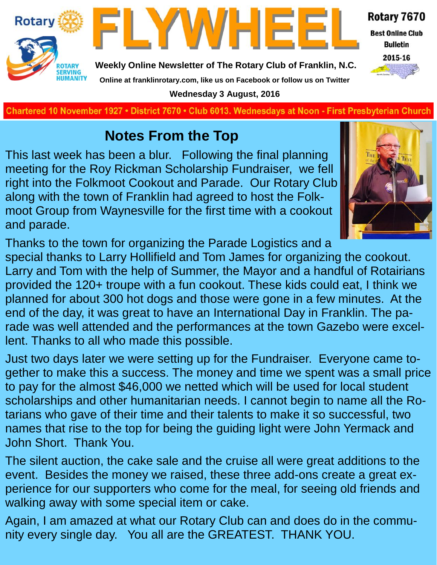



Rotary 7670 **Best Online Club Bulletin** 

2015-16

**Weekly Online Newsletter of The Rotary Club of Franklin, N.C. Online at franklinrotary.com, like us on Facebook or follow us on Twitter**

**Wednesday 3 August, 2016**

**Charted November 29, 1927 • District 7670 • Club 6013 Wednesdays at Noon - First Presbyterian Church**

## **Notes From the Top**

This last week has been a blur. Following the final planning meeting for the Roy Rickman Scholarship Fundraiser, we fell right into the Folkmoot Cookout and Parade. Our Rotary Club along with the town of Franklin had agreed to host the Folkmoot Group from Waynesville for the first time with a cookout and parade.



Thanks to the town for organizing the Parade Logistics and a

special thanks to Larry Hollifield and Tom James for organizing the cookout. Larry and Tom with the help of Summer, the Mayor and a handful of Rotairians provided the 120+ troupe with a fun cookout. These kids could eat, I think we planned for about 300 hot dogs and those were gone in a few minutes. At the end of the day, it was great to have an International Day in Franklin. The parade was well attended and the performances at the town Gazebo were excellent. Thanks to all who made this possible.

Just two days later we were setting up for the Fundraiser. Everyone came together to make this a success. The money and time we spent was a small price to pay for the almost \$46,000 we netted which will be used for local student scholarships and other humanitarian needs. I cannot begin to name all the Rotarians who gave of their time and their talents to make it so successful, two names that rise to the top for being the guiding light were John Yermack and John Short. Thank You.

The silent auction, the cake sale and the cruise all were great additions to the event. Besides the money we raised, these three add-ons create a great experience for our supporters who come for the meal, for seeing old friends and walking away with some special item or cake.

Again, I am amazed at what our Rotary Club can and does do in the community every single day. You all are the GREATEST. THANK YOU.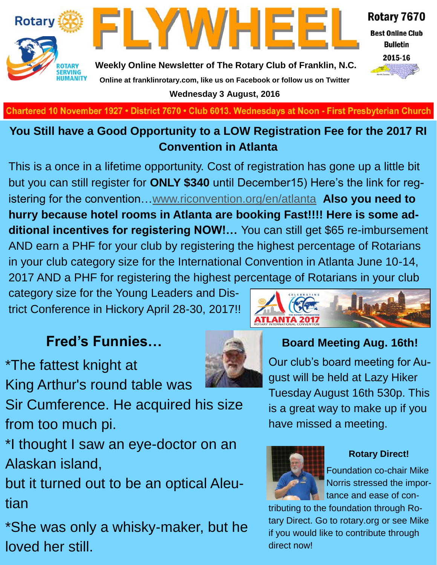

**Best Online Club Bulletin** 

2015-16



**Weekly Online Newsletter of The Rotary Club of Franklin, N.C. Online at franklinrotary.com, like us on Facebook or follow us on Twitter Wednesday 3 August, 2016**

FLYWHEE

**Charted November 29, 1927 • District 7670 • Club 6013 Wednesdays at Noon - First Presbyterian Church**

### **You Still have a Good Opportunity to a LOW Registration Fee for the 2017 RI Convention in Atlanta**

This is a once in a lifetime opportunity. Cost of registration has gone up a little bit but you can still register for **ONLY \$340** until December15) Here's the link for registering for the convention…[www.riconvention.org/en/atlanta](http://www.riconvention.org/en/atlanta) **Also you need to hurry because hotel rooms in Atlanta are booking Fast!!!! Here is some additional incentives for registering NOW!…** You can still get \$65 re-imbursement AND earn a PHF for your club by registering the highest percentage of Rotarians in your club category size for the International Convention in Atlanta June 10-14, 2017 AND a PHF for registering the highest percentage of Rotarians in your club

category size for the Young Leaders and District Conference in Hickory April 28-30, 2017!!

## **Fred's Funnies…**

\*The fattest knight at



**Board Meeting Aug. 16th!**

lle a sh

Our club's board meeting for August will be held at Lazy Hiker Tuesday August 16th 530p. This is a great way to make up if you have missed a meeting.



ATLANTA 201

**Rotary Direct!**

Foundation co-chair Mike Norris stressed the importance and ease of con-

tributing to the foundation through Rotary Direct. Go to rotary.org or see Mike if you would like to contribute through direct now!

King Arthur's round table was

Sir Cumference. He acquired his size from too much pi.

\*I thought I saw an eye-doctor on an Alaskan island,

but it turned out to be an optical Aleutian

\*She was only a whisky-maker, but he loved her still.